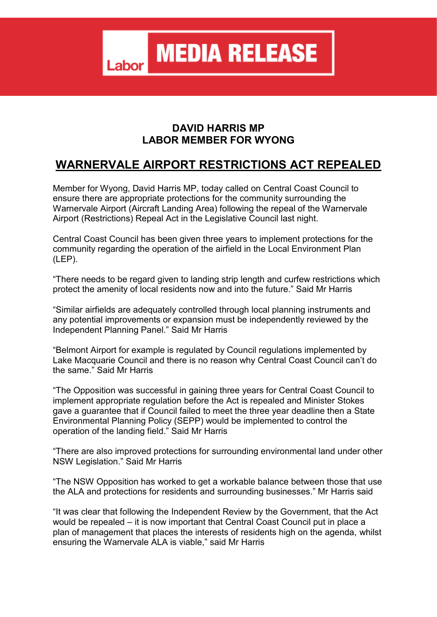**MEDIA RELEASE** Labor

## **DAVID HARRIS MP LABOR MEMBER FOR WYONG**

## **WARNERVALE AIRPORT RESTRICTIONS ACT REPEALED**

Member for Wyong, David Harris MP, today called on Central Coast Council to ensure there are appropriate protections for the community surrounding the Warnervale Airport (Aircraft Landing Area) following the repeal of the Warnervale Airport (Restrictions) Repeal Act in the Legislative Council last night.

Central Coast Council has been given three years to implement protections for the community regarding the operation of the airfield in the Local Environment Plan (LEP).

"There needs to be regard given to landing strip length and curfew restrictions which protect the amenity of local residents now and into the future." Said Mr Harris

"Similar airfields are adequately controlled through local planning instruments and any potential improvements or expansion must be independently reviewed by the Independent Planning Panel." Said Mr Harris

"Belmont Airport for example is regulated by Council regulations implemented by Lake Macquarie Council and there is no reason why Central Coast Council can't do the same." Said Mr Harris

"The Opposition was successful in gaining three years for Central Coast Council to implement appropriate regulation before the Act is repealed and Minister Stokes gave a guarantee that if Council failed to meet the three year deadline then a State Environmental Planning Policy (SEPP) would be implemented to control the operation of the landing field." Said Mr Harris

"There are also improved protections for surrounding environmental land under other NSW Legislation." Said Mr Harris

"The NSW Opposition has worked to get a workable balance between those that use the ALA and protections for residents and surrounding businesses." Mr Harris said

"It was clear that following the Independent Review by the Government, that the Act would be repealed – it is now important that Central Coast Council put in place a plan of management that places the interests of residents high on the agenda, whilst ensuring the Warnervale ALA is viable," said Mr Harris